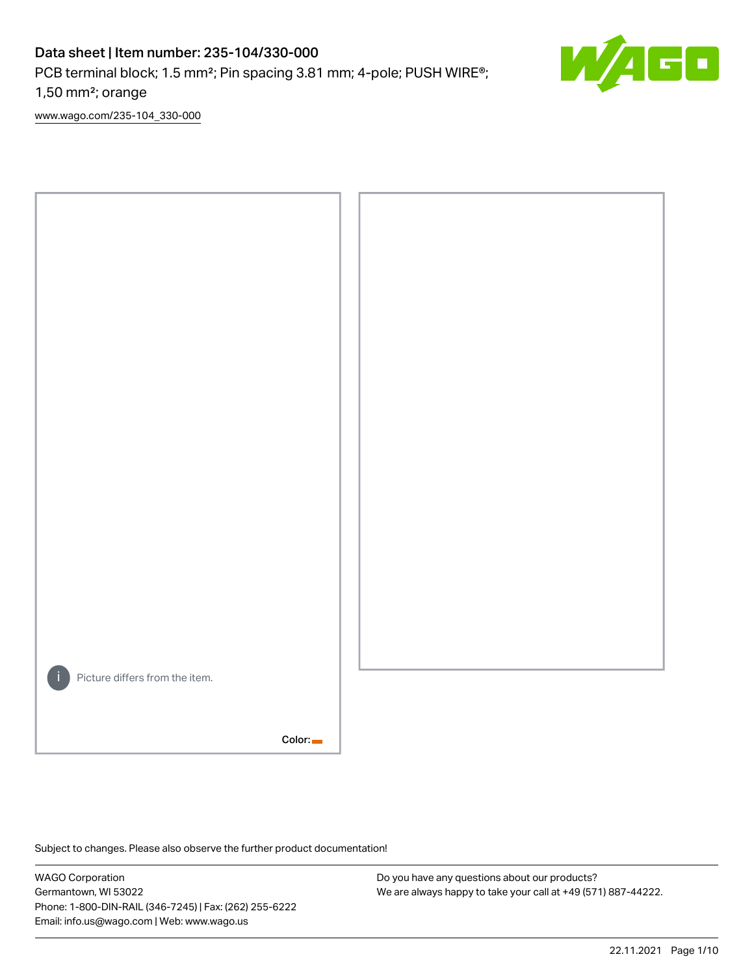# Data sheet | Item number: 235-104/330-000

PCB terminal block; 1.5 mm<sup>2</sup>; Pin spacing 3.81 mm; 4-pole; PUSH WIRE<sup>®</sup>;

1,50 mm²; orange

[www.wago.com/235-104\\_330-000](http://www.wago.com/235-104_330-000)



Subject to changes. Please also observe the further product documentation!

WAGO Corporation Germantown, WI 53022 Phone: 1-800-DIN-RAIL (346-7245) | Fax: (262) 255-6222 Email: info.us@wago.com | Web: www.wago.us

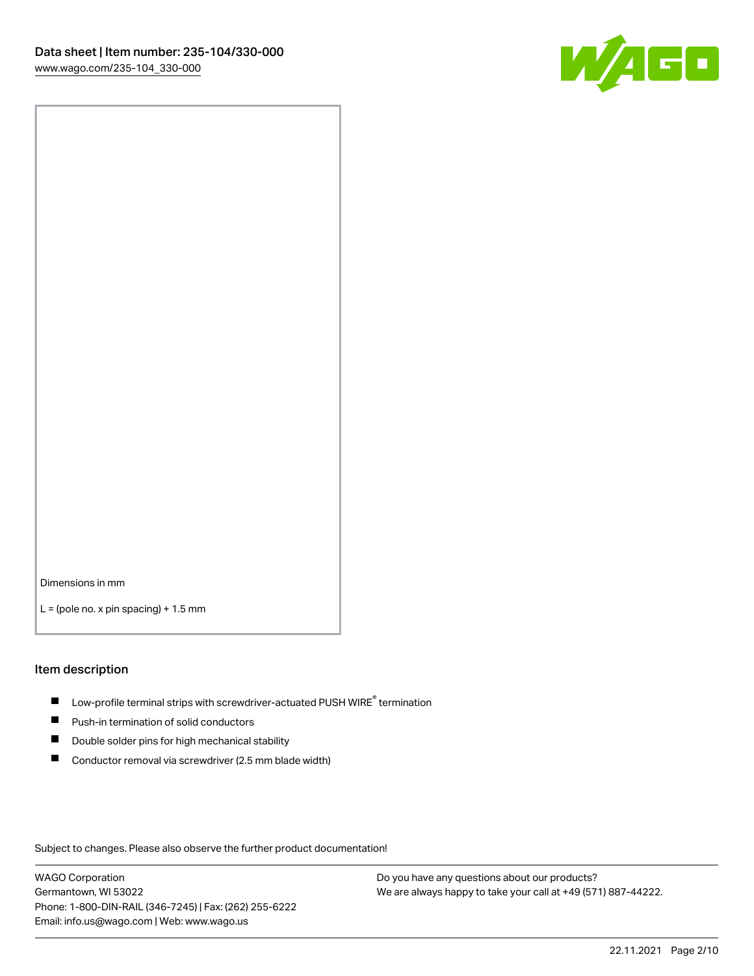

Dimensions in mm

 $L =$  (pole no. x pin spacing) + 1.5 mm

#### Item description

- $\blacksquare$  Low-profile terminal strips with screwdriver-actuated PUSH WIRE<sup>®</sup> termination
- **Push-in termination of solid conductors**
- $\blacksquare$ Double solder pins for high mechanical stability
- П Conductor removal via screwdriver (2.5 mm blade width)

Subject to changes. Please also observe the further product documentation!

WAGO Corporation Germantown, WI 53022 Phone: 1-800-DIN-RAIL (346-7245) | Fax: (262) 255-6222 Email: info.us@wago.com | Web: www.wago.us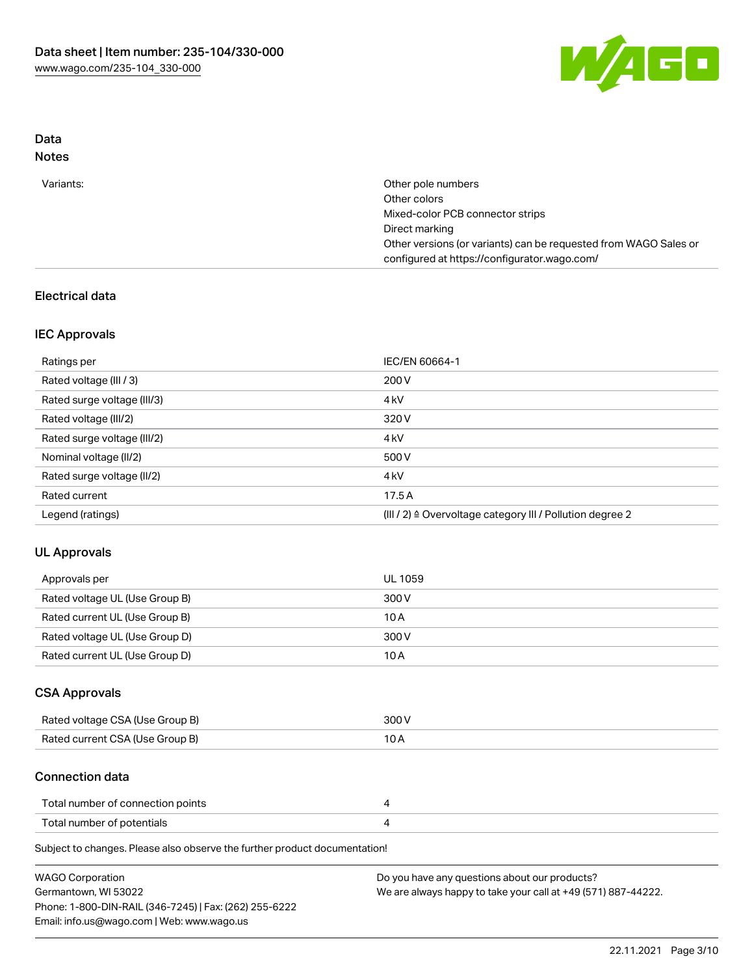

### Data Notes

| Variants: | Other pole numbers                                               |
|-----------|------------------------------------------------------------------|
|           | Other colors                                                     |
|           | Mixed-color PCB connector strips                                 |
|           | Direct marking                                                   |
|           | Other versions (or variants) can be requested from WAGO Sales or |
|           | configured at https://configurator.wago.com/                     |

# Electrical data

### IEC Approvals

| Ratings per                 | IEC/EN 60664-1                                                        |
|-----------------------------|-----------------------------------------------------------------------|
| Rated voltage (III / 3)     | 200 V                                                                 |
| Rated surge voltage (III/3) | 4 <sub>k</sub> V                                                      |
| Rated voltage (III/2)       | 320 V                                                                 |
| Rated surge voltage (III/2) | 4 <sub>k</sub> V                                                      |
| Nominal voltage (II/2)      | 500 V                                                                 |
| Rated surge voltage (II/2)  | 4 <sub>k</sub> V                                                      |
| Rated current               | 17.5A                                                                 |
| Legend (ratings)            | $(III / 2)$ $\triangle$ Overvoltage category III / Pollution degree 2 |

### UL Approvals

| Approvals per                  | UL 1059 |
|--------------------------------|---------|
| Rated voltage UL (Use Group B) | 300 V   |
| Rated current UL (Use Group B) | 10 A    |
| Rated voltage UL (Use Group D) | 300 V   |
| Rated current UL (Use Group D) | 10 A    |

### CSA Approvals

| Rated voltage CSA (Use Group B) | 300 V |
|---------------------------------|-------|
| Rated current CSA (Use Group B) | 10 A  |

#### Connection data

| Total number of connection points |  |
|-----------------------------------|--|
| Total number of potentials        |  |

Subject to changes. Please also observe the further product documentation!

| <b>WAGO Corporation</b>                                | Do you have any questions about our products?                 |
|--------------------------------------------------------|---------------------------------------------------------------|
| Germantown, WI 53022                                   | We are always happy to take your call at +49 (571) 887-44222. |
| Phone: 1-800-DIN-RAIL (346-7245)   Fax: (262) 255-6222 |                                                               |
| Email: info.us@wago.com   Web: www.wago.us             |                                                               |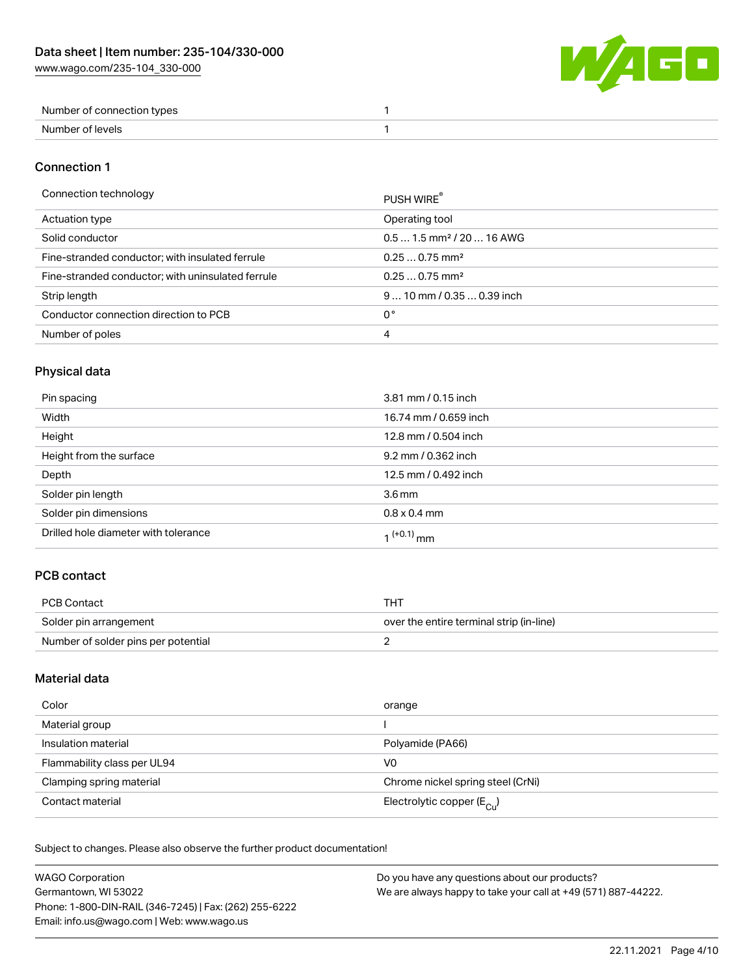W/AGO

| Number of connection types |  |
|----------------------------|--|
| Number of levels           |  |

#### Connection 1

#### Connection technology PUSH WIRE®

|                                                   | PUSH WIRE                             |
|---------------------------------------------------|---------------------------------------|
| Actuation type                                    | Operating tool                        |
| Solid conductor                                   | $0.51.5$ mm <sup>2</sup> / 20  16 AWG |
| Fine-stranded conductor; with insulated ferrule   | $0.250.75$ mm <sup>2</sup>            |
| Fine-stranded conductor; with uninsulated ferrule | $0.250.75$ mm <sup>2</sup>            |
| Strip length                                      | $910$ mm / 0.35  0.39 inch            |
| Conductor connection direction to PCB             | 0°                                    |
| Number of poles                                   | 4                                     |
|                                                   |                                       |

# Physical data

| Pin spacing                          | 3.81 mm / 0.15 inch   |
|--------------------------------------|-----------------------|
| Width                                | 16.74 mm / 0.659 inch |
| Height                               | 12.8 mm / 0.504 inch  |
| Height from the surface              | 9.2 mm / 0.362 inch   |
| Depth                                | 12.5 mm / 0.492 inch  |
| Solder pin length                    | 3.6 <sub>mm</sub>     |
| Solder pin dimensions                | $0.8 \times 0.4$ mm   |
| Drilled hole diameter with tolerance | $1^{(+0.1)}$ mm       |

# PCB contact

| PCB Contact                         | THT                                      |
|-------------------------------------|------------------------------------------|
| Solder pin arrangement              | over the entire terminal strip (in-line) |
| Number of solder pins per potential |                                          |

# Material data

| Color                       | orange                                |
|-----------------------------|---------------------------------------|
| Material group              |                                       |
| Insulation material         | Polyamide (PA66)                      |
| Flammability class per UL94 | V0                                    |
| Clamping spring material    | Chrome nickel spring steel (CrNi)     |
| Contact material            | Electrolytic copper $(E_{\text{Cl}})$ |

Subject to changes. Please also observe the further product documentation!

| <b>WAGO Corporation</b>                                | Do you have any questions about our products?                 |
|--------------------------------------------------------|---------------------------------------------------------------|
| Germantown, WI 53022                                   | We are always happy to take your call at +49 (571) 887-44222. |
| Phone: 1-800-DIN-RAIL (346-7245)   Fax: (262) 255-6222 |                                                               |
| Email: info.us@wago.com   Web: www.wago.us             |                                                               |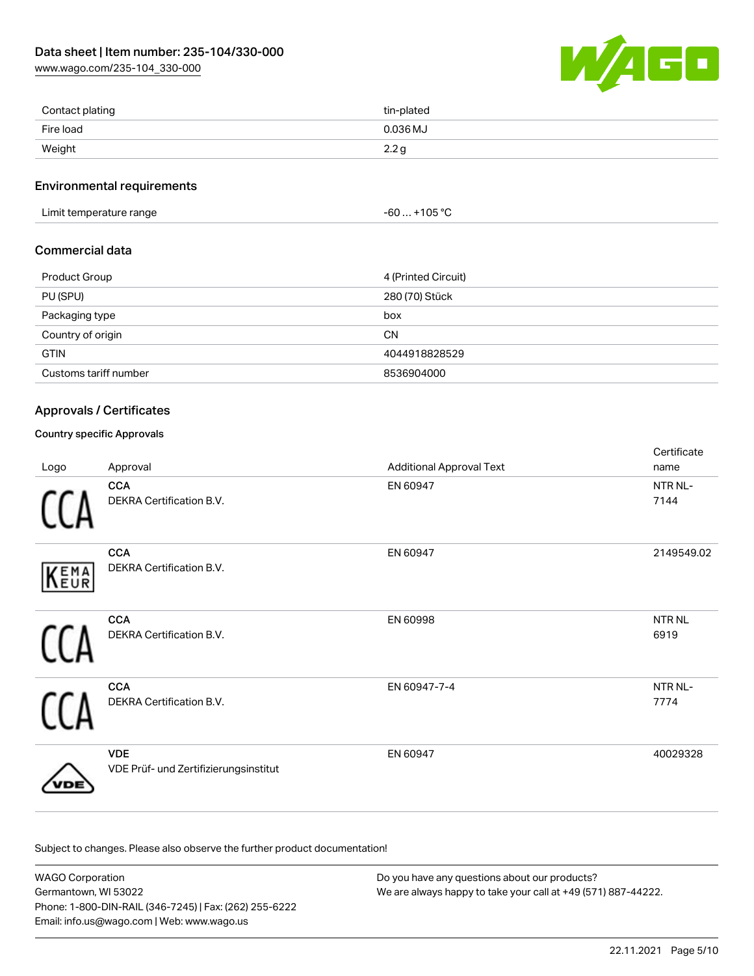[www.wago.com/235-104\\_330-000](http://www.wago.com/235-104_330-000)



| Contact plating | tin-plated |
|-----------------|------------|
| Fire load       | 0.036 MJ   |
| Weight          | 2.2g       |

#### Environmental requirements

Limit temperature range  $-60...+105$  °C

#### Commercial data

| Product Group         | 4 (Printed Circuit) |
|-----------------------|---------------------|
| PU (SPU)              | 280 (70) Stück      |
| Packaging type        | box                 |
| Country of origin     | <b>CN</b>           |
| <b>GTIN</b>           | 4044918828529       |
| Customs tariff number | 8536904000          |

#### Approvals / Certificates

#### Country specific Approvals

| Logo | Approval                                            | <b>Additional Approval Text</b> | Certificate<br>name   |
|------|-----------------------------------------------------|---------------------------------|-----------------------|
|      | <b>CCA</b><br>DEKRA Certification B.V.              | EN 60947                        | NTR NL-<br>7144       |
| KEMA | <b>CCA</b><br>DEKRA Certification B.V.              | EN 60947                        | 2149549.02            |
|      | <b>CCA</b><br>DEKRA Certification B.V.              | EN 60998                        | <b>NTR NL</b><br>6919 |
|      | <b>CCA</b><br>DEKRA Certification B.V.              | EN 60947-7-4                    | NTR NL-<br>7774       |
|      | <b>VDE</b><br>VDE Prüf- und Zertifizierungsinstitut | EN 60947                        | 40029328              |

Subject to changes. Please also observe the further product documentation!

WAGO Corporation Germantown, WI 53022 Phone: 1-800-DIN-RAIL (346-7245) | Fax: (262) 255-6222 Email: info.us@wago.com | Web: www.wago.us Do you have any questions about our products? We are always happy to take your call at +49 (571) 887-44222.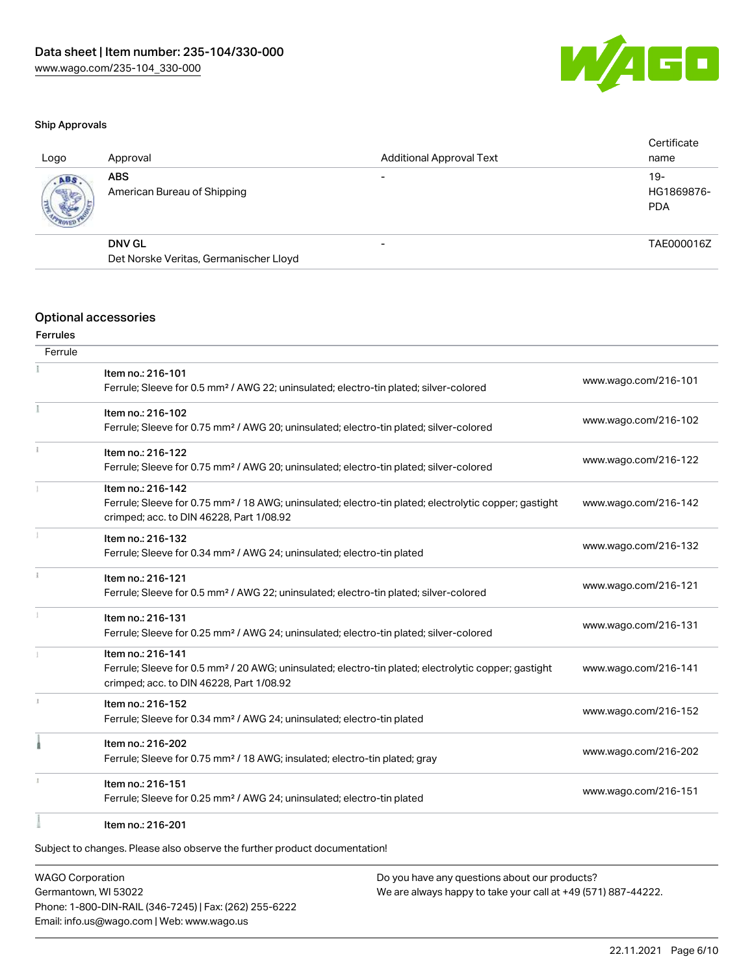

#### Ship Approvals

| Logo | Approval                                  | <b>Additional Approval Text</b> | Certificate<br>name               |
|------|-------------------------------------------|---------------------------------|-----------------------------------|
| ABS  | <b>ABS</b><br>American Bureau of Shipping |                                 | $19-$<br>HG1869876-<br><b>PDA</b> |
|      | <b>DNV GL</b>                             | $\overline{\phantom{0}}$        | TAE000016Z                        |
|      | Det Norske Veritas, Germanischer Lloyd    |                                 |                                   |
|      |                                           |                                 |                                   |

#### Optional accessories

# Ferrules

| Ferrule |                                                                                                                   |                      |
|---------|-------------------------------------------------------------------------------------------------------------------|----------------------|
|         | Item no.: 216-101                                                                                                 | www.wago.com/216-101 |
|         | Ferrule; Sleeve for 0.5 mm <sup>2</sup> / AWG 22; uninsulated; electro-tin plated; silver-colored                 |                      |
|         | Item no.: 216-102                                                                                                 |                      |
|         | Ferrule; Sleeve for 0.75 mm <sup>2</sup> / AWG 20; uninsulated; electro-tin plated; silver-colored                | www.wago.com/216-102 |
|         | Item no.: 216-122                                                                                                 |                      |
|         | Ferrule; Sleeve for 0.75 mm <sup>2</sup> / AWG 20; uninsulated; electro-tin plated; silver-colored                | www.wago.com/216-122 |
|         | Item no.: 216-142                                                                                                 |                      |
|         | Ferrule; Sleeve for 0.75 mm <sup>2</sup> / 18 AWG; uninsulated; electro-tin plated; electrolytic copper; gastight | www.wago.com/216-142 |
|         | crimped; acc. to DIN 46228, Part 1/08.92                                                                          |                      |
|         | Item no.: 216-132                                                                                                 | www.wago.com/216-132 |
|         | Ferrule; Sleeve for 0.34 mm <sup>2</sup> / AWG 24; uninsulated; electro-tin plated                                |                      |
|         | Item no.: 216-121                                                                                                 | www.wago.com/216-121 |
|         | Ferrule; Sleeve for 0.5 mm <sup>2</sup> / AWG 22; uninsulated; electro-tin plated; silver-colored                 |                      |
|         | Item no.: 216-131                                                                                                 |                      |
|         | Ferrule; Sleeve for 0.25 mm <sup>2</sup> / AWG 24; uninsulated; electro-tin plated; silver-colored                | www.wago.com/216-131 |
|         | Item no.: 216-141                                                                                                 |                      |
|         | Ferrule; Sleeve for 0.5 mm <sup>2</sup> / 20 AWG; uninsulated; electro-tin plated; electrolytic copper; gastight  | www.wago.com/216-141 |
|         | crimped; acc. to DIN 46228, Part 1/08.92                                                                          |                      |
|         | Item no.: 216-152                                                                                                 | www.wago.com/216-152 |
|         | Ferrule; Sleeve for 0.34 mm <sup>2</sup> / AWG 24; uninsulated; electro-tin plated                                |                      |
|         | Item no.: 216-202                                                                                                 | www.wago.com/216-202 |
|         | Ferrule; Sleeve for 0.75 mm <sup>2</sup> / 18 AWG; insulated; electro-tin plated; gray                            |                      |
|         | Item no.: 216-151                                                                                                 |                      |
|         | Ferrule; Sleeve for 0.25 mm <sup>2</sup> / AWG 24; uninsulated; electro-tin plated                                | www.wago.com/216-151 |
|         | Item no.: 216-201                                                                                                 |                      |

Subject to changes. Please also observe the further product documentation!

WAGO Corporation Germantown, WI 53022 Phone: 1-800-DIN-RAIL (346-7245) | Fax: (262) 255-6222 Email: info.us@wago.com | Web: www.wago.us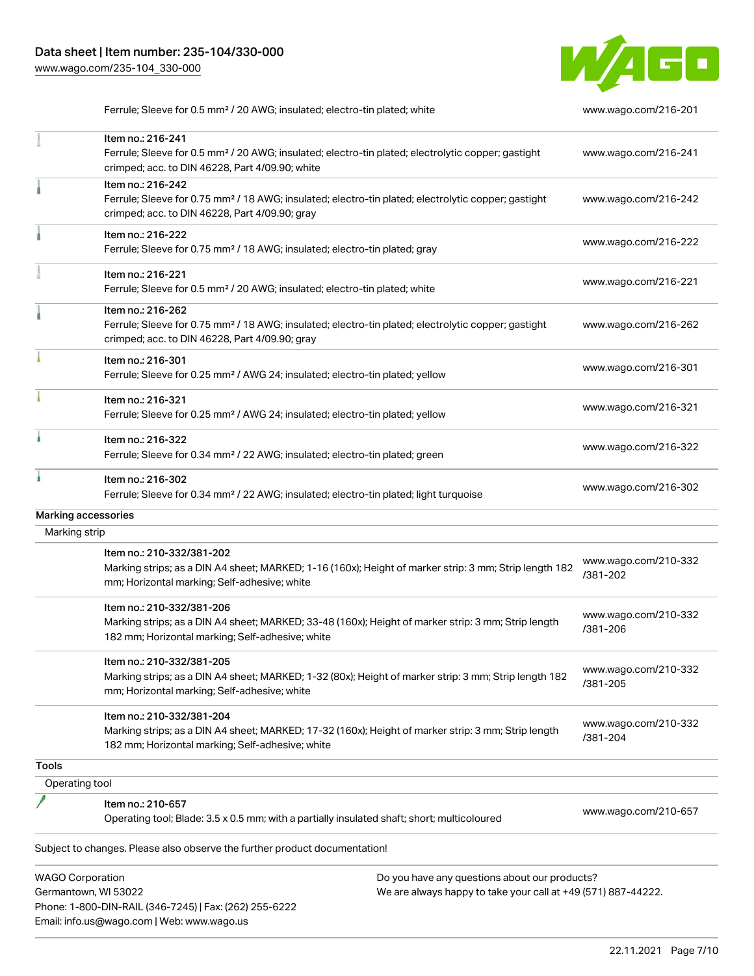

Subject to changes. Please also observe the further product documentation! Ferrule; Sleeve for 0.5 mm² / 20 AWG; insulated; electro-tin plated; white [www.wago.com/216-201](http://www.wago.com/216-201) Item no.: 216-241 Ferrule; Sleeve for 0.5 mm² / 20 AWG; insulated; electro-tin plated; electrolytic copper; gastight crimped; acc. to DIN 46228, Part 4/09.90; white [www.wago.com/216-241](http://www.wago.com/216-241) Item no.: 216-242 Ferrule; Sleeve for 0.75 mm² / 18 AWG; insulated; electro-tin plated; electrolytic copper; gastight crimped; acc. to DIN 46228, Part 4/09.90; gray [www.wago.com/216-242](http://www.wago.com/216-242) Item no.: 216-222 Ferrule; Sleeve for 0.75 mm² / 18 AWG; insulated; electro-tin plated; gray [www.wago.com/216-222](http://www.wago.com/216-222) Item no.: 216-221 Ferrule; Sleeve for 0.5 mm² / 20 AWG; insulated; electro-tin plated; white [www.wago.com/216-221](http://www.wago.com/216-221) Item no.: 216-262 Ferrule; Sleeve for 0.75 mm² / 18 AWG; insulated; electro-tin plated; electrolytic copper; gastight crimped; acc. to DIN 46228, Part 4/09.90; gray [www.wago.com/216-262](http://www.wago.com/216-262) Item no.: 216-301 Ferrule; Sleeve for 0.25 mm² / AWG 24; insulated; electro-tin plated; yellow [www.wago.com/216-301](http://www.wago.com/216-301) Item no.: 216-321 Ferrule; Sleeve for 0.25 mm² / AWG 24; insulated; electro-tin plated; yellow [www.wago.com/216-321](http://www.wago.com/216-321) Item no.: 216-322 Ferrule; Sleeve for 0.34 mm² / 22 AWG; insulated; electro-tin plated; green [www.wago.com/216-322](http://www.wago.com/216-322) Item no.: 216-302 Ferrule; Sleeve for 0.34 mm² / 22 AWG; insulated; electro-tin plated; light turquoise [www.wago.com/216-302](http://www.wago.com/216-302) Marking accessories Marking strip Item no.: 210-332/381-202 Marking strips; as a DIN A4 sheet; MARKED; 1-16 (160x); Height of marker strip: 3 mm; Strip length 182 mm; Horizontal marking; Self-adhesive; white [www.wago.com/210-332](http://www.wago.com/210-332/381-202) [/381-202](http://www.wago.com/210-332/381-202) Item no.: 210-332/381-206 Marking strips; as a DIN A4 sheet; MARKED; 33-48 (160x); Height of marker strip: 3 mm; Strip length 182 mm; Horizontal marking; Self-adhesive; white [www.wago.com/210-332](http://www.wago.com/210-332/381-206) [/381-206](http://www.wago.com/210-332/381-206) Item no.: 210-332/381-205 Marking strips; as a DIN A4 sheet; MARKED; 1-32 (80x); Height of marker strip: 3 mm; Strip length 182 mm; Horizontal marking; Self-adhesive; white [www.wago.com/210-332](http://www.wago.com/210-332/381-205) [/381-205](http://www.wago.com/210-332/381-205) Item no.: 210-332/381-204 Marking strips; as a DIN A4 sheet; MARKED; 17-32 (160x); Height of marker strip: 3 mm; Strip length 182 mm; Horizontal marking; Self-adhesive; white [www.wago.com/210-332](http://www.wago.com/210-332/381-204) [/381-204](http://www.wago.com/210-332/381-204) **Tools**  Operating tool Item no.: 210-657 Operating tool; Blade: 3.5 x 0.5 mm; with a partially insulated shaft; short; multicoloured [www.wago.com/210-657](http://www.wago.com/210-657)

WAGO Corporation Germantown, WI 53022 Phone: 1-800-DIN-RAIL (346-7245) | Fax: (262) 255-6222 Email: info.us@wago.com | Web: www.wago.us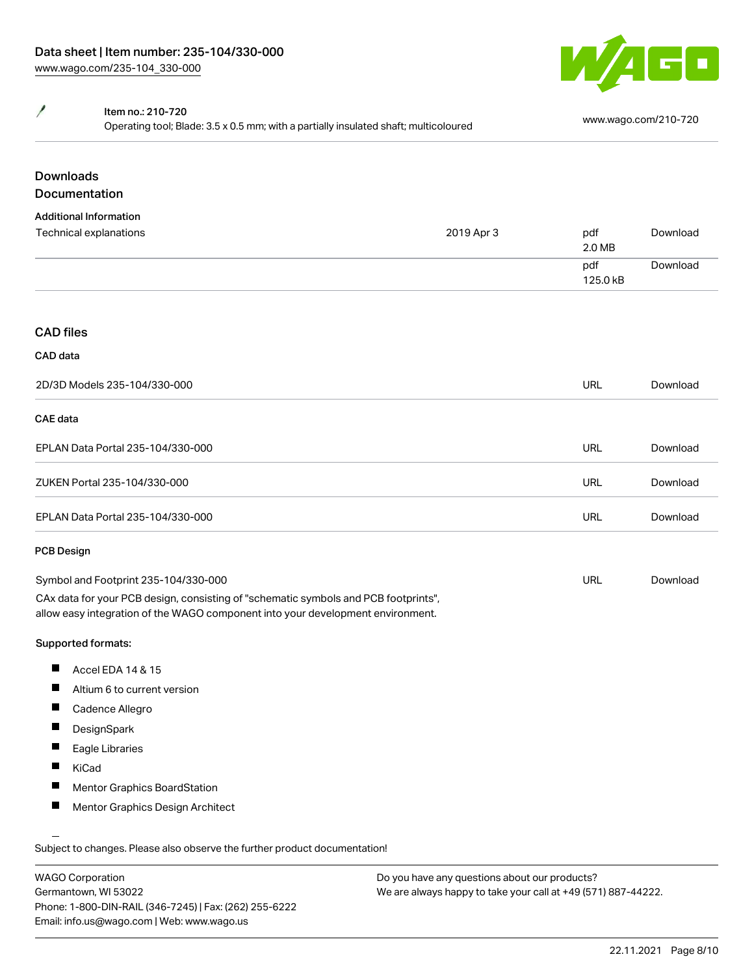

#### Y Item no.: 210-720

Nettrition: 210.720<br>Operating tool; Blade: 3.5 x 0.5 mm; with a partially insulated shaft; multicoloured [www.wago.com/210-720](http://www.wago.com/210-720)

# Downloads

# Documentation

| 2D/3D Models 235-104/330-000 |            | <b>URL</b>           | Download             |
|------------------------------|------------|----------------------|----------------------|
| CAD data                     |            |                      |                      |
| <b>CAD files</b>             |            |                      |                      |
|                              |            | 125.0 kB             |                      |
| Technical explanations       | 2019 Apr 3 | pdf<br>2.0 MB<br>pdf | Download<br>Download |

#### CAE data

| EPLAN Data Portal 235-104/330-000 | URL | Download |
|-----------------------------------|-----|----------|
| ZUKEN Portal 235-104/330-000      | URL | Download |
| EPLAN Data Portal 235-104/330-000 | URL | Download |

#### PCB Design

| Symbol and Footprint 235-104/330-000                                                | URL | Download |
|-------------------------------------------------------------------------------------|-----|----------|
| CAx data for your PCB design, consisting of "schematic symbols and PCB footprints", |     |          |
| allow easy integration of the WAGO component into your development environment.     |     |          |

#### Supported formats:

- $\blacksquare$ Accel EDA 14 & 15
- П Altium 6 to current version
- П Cadence Allegro
- $\blacksquare$ DesignSpark
- $\blacksquare$ Eagle Libraries
- $\blacksquare$ KiCad
- $\blacksquare$ Mentor Graphics BoardStation
- П Mentor Graphics Design Architect

Subject to changes. Please also observe the further product documentation!

WAGO Corporation Germantown, WI 53022 Phone: 1-800-DIN-RAIL (346-7245) | Fax: (262) 255-6222 Email: info.us@wago.com | Web: www.wago.us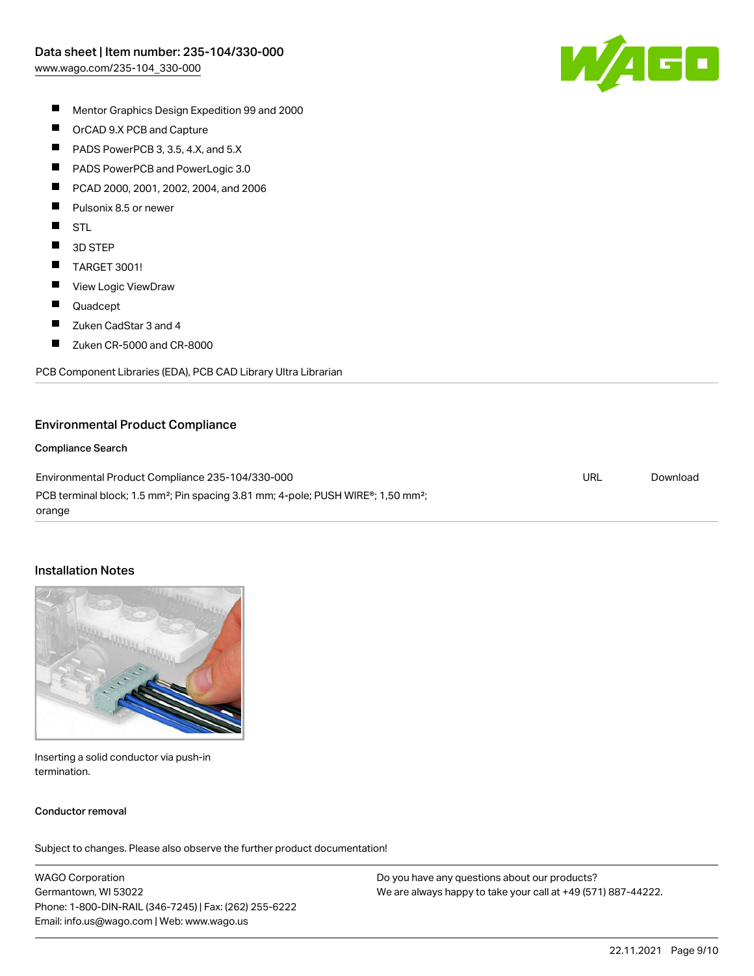

- $\blacksquare$ Mentor Graphics Design Expedition 99 and 2000
- $\blacksquare$ OrCAD 9.X PCB and Capture
- $\blacksquare$ PADS PowerPCB 3, 3.5, 4.X, and 5.X
- $\blacksquare$ PADS PowerPCB and PowerLogic 3.0
- П PCAD 2000, 2001, 2002, 2004, and 2006
- П Pulsonix 8.5 or newer
- $\blacksquare$ STL
- $\blacksquare$ 3D STEP
- $\blacksquare$ TARGET 3001!
- $\blacksquare$ View Logic ViewDraw
- $\blacksquare$ Quadcept
- П Zuken CadStar 3 and 4
- $\blacksquare$ Zuken CR-5000 and CR-8000

PCB Component Libraries (EDA), PCB CAD Library Ultra Librarian

#### Environmental Product Compliance

#### Compliance Search

Environmental Product Compliance 235-104/330-000 PCB terminal block; 1.5 mm<sup>2</sup>; Pin spacing 3.81 mm; 4-pole; PUSH WIRE<sup>®</sup>; 1,50 mm<sup>2</sup>; orange URL [Download](https://www.wago.com/global/d/ComplianceLinkMediaContainer_235-104_330-000)

#### Installation Notes



Inserting a solid conductor via push-in termination.

#### Conductor removal

Subject to changes. Please also observe the further product documentation!

WAGO Corporation Germantown, WI 53022 Phone: 1-800-DIN-RAIL (346-7245) | Fax: (262) 255-6222 Email: info.us@wago.com | Web: www.wago.us